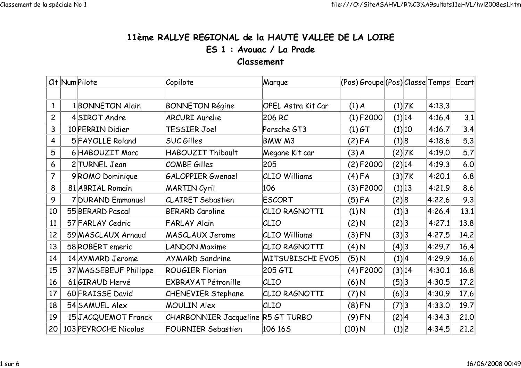## 11ème RALLYE REGIONAL de la HAUTE VALLEE DE LA LOIREES 1 : Avouac / La PradeClassement

|                         | Clt Num Pilote |                       | Copilote                           | Marque                    |          | (Pos) Groupe (Pos) Classe Temps  Ecart |        |        |        |      |
|-------------------------|----------------|-----------------------|------------------------------------|---------------------------|----------|----------------------------------------|--------|--------|--------|------|
|                         |                |                       |                                    |                           |          |                                        |        |        |        |      |
| $\mathbf{1}$            |                | 1 BONNETON Alain      | <b>BONNETON Régine</b>             | <b>OPEL Astra Kit Car</b> | (1) A    |                                        |        | (1) 7K | 4:13.3 |      |
| $\overline{c}$          |                | 4SIROT Andre          | <b>ARCURI Aurelie</b>              | 206 RC                    |          | $(1)$ F2000                            |        | (1) 14 | 4:16.4 | 3.1  |
| 3                       |                | 10 PERRIN Didier      | TESSIER Joel                       | Porsche GT3               |          | $(1) G$ T                              |        | (1) 10 | 4:16.7 | 3.4  |
| $\overline{\mathbf{4}}$ |                | 5 FAYOLLE Roland      | <b>SUC Gilles</b>                  | BMW M3                    |          | (2) FA                                 | (1) 8  |        | 4:18.6 | 5.3  |
| 5                       |                | 6 HABOUZIT Marc       | HABOUZIT Thibault                  | Megane Kit car            | (3) A    |                                        |        | (2) 7K | 4:19.0 | 5.7  |
| 6                       |                | 2 TURNEL Jean         | <b>COMBE Gilles</b>                | 205                       |          | $(2)$ F2000                            | (2) 14 |        | 4:19.3 | 6.0  |
| $\overline{7}$          |                | 9ROMO Dominique       | <b>GALOPPIER Gwenael</b>           | <b>CLIO Williams</b>      |          | $(4)$ FA                               |        | (3) 7K | 4:20.1 | 6.8  |
| 8                       |                | 81 ABRIAL Romain      | <b>MARTIN Cyril</b>                | 106                       |          | $(3) $ F2000                           |        | (1) 13 | 4:21.9 | 8.6  |
| 9                       |                | 7 DURAND Emmanuel     | <b>CLAIRET Sebastien</b>           | <b>ESCORT</b>             |          | (5) FA                                 | (2) 8  |        | 4:22.6 | 9.3  |
| 10                      |                | 55 BERARD Pascal      | <b>BERARD Caroline</b>             | CLIO RAGNOTTI             | (1) N    |                                        | (1) 3  |        | 4:26.4 | 13.1 |
| 11                      |                | 57 FARLAY Cedric      | <b>FARLAY Alain</b>                | CLIO                      | (2)N     |                                        | (2) 3  |        | 4:27.1 | 13.8 |
| 12                      |                | 59 MASCLAUX Arnaud    | <b>MASCLAUX Jerome</b>             | <b>CLIO Williams</b>      |          | $(3)$ FN                               | (3) 3  |        | 4:27.5 | 14.2 |
| 13                      |                | 58 ROBERT emeric      | <b>LANDON Maxime</b>               | CLIO RAGNOTTI             | (4) N    |                                        | (4)3   |        | 4:29.7 | 16.4 |
| 14                      |                | 14 AY MARD Jerome     | <b>AYMARD Sandrine</b>             | MITSUBISCHI EVO5          | $(5)$ N  |                                        | (1) 4  |        | 4:29.9 | 16.6 |
| 15                      |                | 37 MASSEBEUF Philippe | <b>ROUGIER Florian</b>             | 205 GTI                   |          | $(4)$ F2000                            | (3) 14 |        | 4:30.1 | 16.8 |
| 16                      |                | 61 GIRAUD Hervé       | <b>EXBRAYAT Pétronille</b>         | CLIO                      | (6)N     |                                        | (5)3   |        | 4:30.5 | 17.2 |
| 17                      |                | 60 FRAISSE David      | <b>CHENEVIER Stephane</b>          | CLIO RAGNOTTI             | $(7)$ N  |                                        | (6)3   |        | 4:30.9 | 17.6 |
| 18                      |                | 54 SAMUEL Alex        | <b>MOULIN Alex</b>                 | CLIO                      |          | $(8)$ FN                               | (7) 3  |        | 4:33.0 | 19.7 |
| 19                      |                | 15JACQUEMOT Franck    | CHARBONNIER Jacqueline R5 GT TURBO |                           |          | $(9)$ FN                               | (2) 4  |        | 4:34.3 | 21.0 |
| 20                      |                | 103 PEYROCHE Nicolas  | <b>FOURNIER Sebastien</b>          | 106 165                   | $(10)$ N |                                        | (1) 2  |        | 4:34.5 | 21.2 |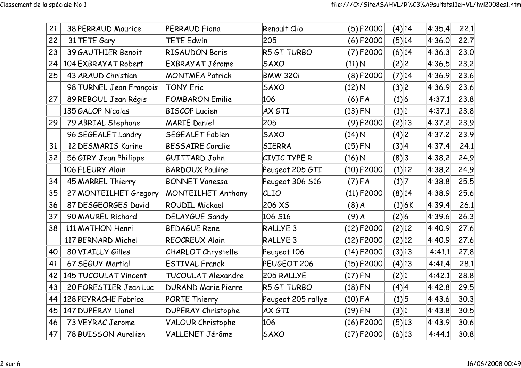| 21 | 38 PERRAUD Maurice      | PERRAUD Fiona              | Renault Clio        |                     | $(5)$ F2000  | $(4)$ 14 | 4:35.4 | 22.1 |
|----|-------------------------|----------------------------|---------------------|---------------------|--------------|----------|--------|------|
| 22 | 31 TETE Gary            | <b>TETE Edwin</b>          | 205                 |                     | $(6)$ F2000  | (5) 14   | 4:36.0 | 22.7 |
| 23 | 39 GAUTHIER Benoit      | <b>RIGAUDON Boris</b>      | R5 GT TURBO         |                     | $(7)$ F2000  | (6) 14   | 4:36.3 | 23.0 |
| 24 | 104 EXBRAYAT Robert     | EXBRAYAT Jérome            | <b>SAXO</b>         | $(11)\vert N$       |              | (2) 2    | 4:36.5 | 23.2 |
| 25 | 43 ARAUD Christian      | <b>MONTMEA Patrick</b>     | <b>BMW 320i</b>     |                     | $(8)$ F2000  | (7) 14   | 4:36.9 | 23.6 |
|    | 98 TURNEL Jean François | <b>TONY Eric</b>           | <b>SAXO</b>         | $(12)$ N            |              | (3) 2    | 4:36.9 | 23.6 |
| 27 | 89 REBOUL Jean Régis    | <b>FOMBARON Emilie</b>     | 106                 |                     | $(6)$ FA     | (1) 6    | 4:37.1 | 23.8 |
|    | 135 GALOP Nicolas       | <b>BISCOP Lucien</b>       | AX GTI              | $(13)$ FN           |              | (1) 1    | 4:37.1 | 23.8 |
| 29 | 79 ABRIAL Stephane      | <b>MARIE Daniel</b>        | 205                 |                     | $(9)$ F2000  | (2) 13   | 4:37.2 | 23.9 |
|    | 96 SEGEALET Landry      | <b>SEGEALET Fabien</b>     | <b>SAXO</b>         | $(14)$ N            |              | (4) 2    | 4:37.2 | 23.9 |
| 31 | 12 DESMARIS Karine      | <b>BESSAIRE Coralie</b>    | <b>SIERRA</b>       | $(15)$ FN           |              | (3) 4    | 4:37.4 | 24.1 |
| 32 | 56 GIRY Jean Philippe   | GUITTARD John              | CIVIC TYPE R        | $(16)$ <sup>N</sup> |              | (8)3     | 4:38.2 | 24.9 |
|    | 106 FLEURY Alain        | <b>BARDOUX Pauline</b>     | Peugeot 205 GTI     |                     | $(10)$ F2000 | (1) 12   | 4:38.2 | 24.9 |
| 34 | 45 MARREL Thierry       | <b>BONNET Vanessa</b>      | Peugeot 306 S16     |                     | $(7)$ FA     | (1) 7    | 4:38.8 | 25.5 |
| 35 | 27 MONTEILHET Gregory   | <b>MONTEILHET Anthony</b>  | CLIO                |                     | $(11)$ F2000 | (8) 14   | 4:38.9 | 25.6 |
| 36 | 87 DESGEORGES David     | <b>ROUDIL Mickael</b>      | 206 XS              | $(8)$ $A$           |              | (1) 6K   | 4:39.4 | 26.1 |
| 37 | 90 MAUREL Richard       | DELAYGUE Sandy             | 106 S16             | $(9)$ $A$           |              | (2) 6    | 4:39.6 | 26.3 |
| 38 | 111 MATHON Henri        | <b>BEDAGUE Rene</b>        | RALLYE <sub>3</sub> |                     | $(12)$ F2000 | (2) 12   | 4:40.9 | 27.6 |
|    | 117 BERNARD Michel      | <b>REOCREUX Alain</b>      | RALLYE <sub>3</sub> |                     | $(12)$ F2000 | (2) 12   | 4:40.9 | 27.6 |
| 40 | 80 VIAILLY Gilles       | <b>CHARLOT Chrystelle</b>  | Peugeot 106         |                     | $(14)$ F2000 | (3) 13   | 4:41.1 | 27.8 |
| 41 | 67 SEGUY Martial        | <b>ESTIVAL Franck</b>      | PEUGEOT 206         |                     | $(15)$ F2000 | $(4)$ 13 | 4:41.4 | 28.1 |
| 42 | 145 TUCOULAT Vincent    | TUCOULAT Alexandre         | 205 RALLYE          | $(17)$ FN           |              | (2) 1    | 4:42.1 | 28.8 |
| 43 | 20 FORESTIER Jean Luc   | <b>DURAND Marie Pierre</b> | R5 GT TURBO         | $(18)$ FN           |              | (4) 4    | 4:42.8 | 29.5 |
| 44 | 128 PEYRACHE Fabrice    | PORTE Thierry              | Peugeot 205 rallye  | $(10)$ FA           |              | (1) 5    | 4:43.6 | 30.3 |
| 45 | 147 DUPERAY Lionel      | <b>DUPERAY Christophe</b>  | AX GTI              | $(19)$ FN           |              | (3) 1    | 4:43.8 | 30.5 |
| 46 | 73 VEYRAC Jerome        | <b>VALOUR Christophe</b>   | 106                 |                     | $(16)$ F2000 | (5) 13   | 4:43.9 | 30.6 |
| 47 | 78 BUISSON Aurelien     | VALLENET Jérôme            | <b>SAXO</b>         |                     | $(17)$ F2000 | (6) 13   | 4:44.1 | 30.8 |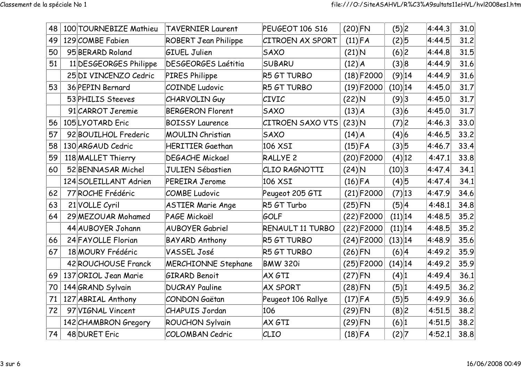| 48 | 100 TOURNEBIZE Mathieu | <b>TAVERNIER Laurent</b>    | PEUGEOT 106 S16         | $(20)$ FN  |               | (5) 2      | 4:44.3 | 31.0 |
|----|------------------------|-----------------------------|-------------------------|------------|---------------|------------|--------|------|
| 49 | 129 COMBE Fabien       | <b>ROBERT Jean Philippe</b> | <b>CITROEN AX SPORT</b> | $(11)$ FA  |               | (2)5       | 4:44.5 | 31.2 |
| 50 | 95 BERARD Roland       | <b>GIUEL Julien</b>         | <b>SAXO</b>             | $(21)$ N   |               | (6) 2      | 4:44.8 | 31.5 |
| 51 | 11 DESGEORGES Philippe | <b>DESGEORGES Laétitia</b>  | <b>SUBARU</b>           | $(12)$ $A$ |               | (3) 8      | 4:44.9 | 31.6 |
|    | 25 DI VINCENZO Cedric  | <b>PIRES Philippe</b>       | R5 GT TURBO             |            | $(18)$ F2000  | (9) 14     | 4:44.9 | 31.6 |
| 53 | 36 PEPIN Bernard       | <b>COINDE Ludovic</b>       | R5 GT TURBO             |            | $(19)$ F2000  | $(10)$ 14  | 4:45.0 | 31.7 |
|    | 53 PHILIS Steeves      | <b>CHARVOLINGuy</b>         | <b>CIVIC</b>            |            | $(22)$ N      | (9)3       | 4:45.0 | 31.7 |
|    | 91 CARROT Jeremie      | <b>BERGERON Florent</b>     | <b>SAXO</b>             |            | (13) A        | (3) 6      | 4:45.0 | 31.7 |
| 56 | 105LYOTARD Eric        | <b>BOISSY Laurence</b>      | <b>CITROEN SAXO VTS</b> |            | $(23)$ N      | (7) 2      | 4:46.3 | 33.0 |
| 57 | 92 BOUILHOL Frederic   | <b>MOULIN Christian</b>     | <b>SAXO</b>             |            | (14) A        | (4) 6      | 4:46.5 | 33.2 |
| 58 | 130 ARGAUD Cedric      | <b>HERITIER Gaethan</b>     | 106 XSI                 |            | $(15)$ FA     | (3) 5      | 4:46.7 | 33.4 |
| 59 | 118 MALLET Thierry     | <b>DEGACHE Mickael</b>      | RALLYE <sub>2</sub>     |            | $(20)$ F2000  | $(4)$ 12   | 4:47.1 | 33.8 |
| 60 | 52 BENNASAR Michel     | <b>JULIEN Sébastien</b>     | CLIO RAGNOTTI           |            | $(24)$ N      | (10) 3     | 4:47.4 | 34.1 |
|    | 124 SOLEILLANT Adrien  | <b>PEREIRA Jerome</b>       | 106 XSI                 | $(16)$ FA  |               | $(4)$ 5    | 4:47.4 | 34.1 |
| 62 | 77 ROCHE Frédéric      | <b>COMBE Ludovic</b>        | Peugeot 205 GTI         |            | $(21)$ F2000  | (7) 13     | 4:47.9 | 34.6 |
| 63 | 21 VOLLE Cyril         | <b>ASTIER Marie Ange</b>    | R5 GT Turbo             | $(25)$ FN  |               | (5) 4      | 4:48.1 | 34.8 |
| 64 | 29 MEZOUAR Mohamed     | PAGE Mickaël                | GOLF                    |            | $(22) $ F2000 | (11) 14    | 4:48.5 | 35.2 |
|    | 44 AUBOYER Johann      | <b>AUBOYER Gabriel</b>      | RENAULT 11 TURBO        |            | $(22)$ F2000  | (11) 14    | 4:48.5 | 35.2 |
| 66 | 24 FAYOLLE Florian     | <b>BAYARD Anthony</b>       | R5 GT TURBO             |            | $(24)$ F2000  | (13) 14    | 4:48.9 | 35.6 |
| 67 | 18 MOURY Frédéric      | VASSEL José                 | R5 GT TURBO             | $(26)$ FN  |               | (6) 4      | 4:49.2 | 35.9 |
|    | 42 ROUCHOUSE Franck    | <b>MERCHIONNE Stephane</b>  | <b>BMW 320i</b>         |            | $(25)$ F2000  | $(14)$  14 | 4:49.2 | 35.9 |
| 69 | 137 ORIOL Jean Marie   | <b>GIRARD Benoit</b>        | AX GTI                  | $(27)$ FN  |               | (4) 1      | 4:49.4 | 36.1 |
| 70 | 144 GRAND Sylvain      | <b>DUCRAY Pauline</b>       | <b>AX SPORT</b>         | $(28)$ FN  |               | (5) 1      | 4:49.5 | 36.2 |
| 71 | 127 ABRIAL Anthony     | <b>CONDON Gaëtan</b>        | Peugeot 106 Rallye      | $(17)$ FA  |               | $(5)$ 5    | 4.49.9 | 36.6 |
| 72 | 97 VIGNAL Vincent      | <b>CHAPUIS Jordan</b>       | 106                     | $(29)$ FN  |               | (8) 2      | 4:51.5 | 38.2 |
|    | 142 CHAMBRON Gregory   | ROUCHON Sylvain             | AX GTI                  | $(29)$ FN  |               | (6) 1      | 4:51.5 | 38.2 |
| 74 | 48 DURET Eric          | <b>COLOMBAN Cedric</b>      | CLIO                    | $(18)$ FA  |               | (2) 7      | 4:52.1 | 38.8 |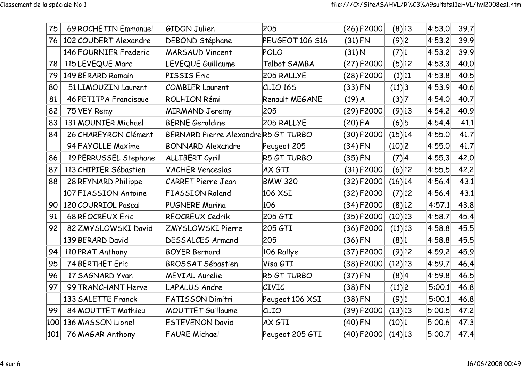| 75  | 69 ROCHETIN Emmanuel  | <b>GIDON Julien</b>                 | 205                 |           | $(26)$ F2000 | $(8)$ 13           | 4:53.0 | 39.7 |
|-----|-----------------------|-------------------------------------|---------------------|-----------|--------------|--------------------|--------|------|
| 76  | 102 COUDERT Alexandre | <b>DEBOND Stéphane</b>              | PEUGEOT 106 S16     | $(31)$ FN |              | (9)2               | 4:53.2 | 39.9 |
|     | 146 FOURNIER Frederic | <b>MARSAUD Vincent</b>              | <b>POLO</b>         | $(31)$ N  |              | (7) 1              | 4:53.2 | 39.9 |
| 78  | 115 LEVEQUE Marc      | LEVEQUE Guillaume                   | Talbot SAMBA        |           | $(27)$ F2000 | (5) 12             | 4:53.3 | 40.0 |
| 79  | 149 BERARD Romain     | PISSIS Eric                         | 205 RALLYE          |           | $(28)$ F2000 | (1) 11             | 4:53.8 | 40.5 |
| 80  | 51 LIMOUZIN Laurent   | <b>COMBIER Laurent</b>              | CLIO <sub>165</sub> | $(33)$ FN |              | (11) 3             | 4:53.9 | 40.6 |
| 81  | 46 PETITPA Francisque | ROLHION Rémi                        | Renault MEGANE      | (19) A    |              | (3) 7              | 4:54.0 | 40.7 |
| 82  | 75 VEY Remy           | <b>MIRMAND Jeremy</b>               | 205                 |           | $(29)$ F2000 | $(9)$ 13           | 4:54.2 | 40.9 |
| 83  | 131 MOUNIER Michael   | <b>BERNE Geraldine</b>              | 205 RALLYE          | $(20)$ FA |              | (6)5               | 4:54.4 | 41.1 |
| 84  | 26 CHAREYRON Clément  | BERNARD Pierre AlexandreR5 GT TURBO |                     |           | $(30)$ F2000 | $(15)$  14         | 4:55.0 | 41.7 |
|     | 94 FAYOLLE Maxime     | <b>BONNARD Alexandre</b>            | Peugeot 205         | $(34)$ FN |              | (10) 2             | 4:55.0 | 41.7 |
| 86  | 19 PERRUSSEL Stephane | ALLIBERT Cyril                      | R5 GT TURBO         | $(35)$ FN |              | (7) 4              | 4:55.3 | 42.0 |
| 87  | 113 CHIPIER Sébastien | <b>VACHER Venceslas</b>             | AX GTI              |           | $(31)$ F2000 | $(6)$  12          | 4:55.5 | 42.2 |
| 88  | 28 REYNARD Philippe   | <b>CARRET Pierre Jean</b>           | <b>BMW 320</b>      |           | $(32)$ F2000 | $(16)$  14         | 4:56.4 | 43.1 |
|     | 107 FIASSION Antoine  | <b>FIASSION Roland</b>              | 106 XSI             |           | $(32)$ F2000 | (7) 12             | 4:56.4 | 43.1 |
| 90  | 120 COURRIOL Pascal   | <b>PUGNERE Marina</b>               | 106                 |           | $(34)$ F2000 | $(8)$ 12           | 4:57.1 | 43.8 |
| 91  | 68 REOCREUX Eric      | REOCREUX Cedrik                     | 205 GTI             |           | $(35)$ F2000 | $(10)$ 13          | 4:58.7 | 45.4 |
| 92  | 82 ZMY SLOWSKI David  | <b>ZMYSLOWSKI Pierre</b>            | 205 GTI             |           | $(36)$ F2000 | (11) 13            | 4:58.8 | 45.5 |
|     | 139 BERARD David      | <b>DESSALCES Armand</b>             | 205                 | $(36)$ FN |              | (8) 1              | 4:58.8 | 45.5 |
| 94  | 110 PRAT Anthony      | <b>BOYER Bernard</b>                | 106 Rallye          |           | $(37)$ F2000 | $(9)$ 12           | 4:59.2 | 45.9 |
| 95  | 74 BERTHET Eric       | <b>BROSSAT Sébastien</b>            | Visa GTI            |           | $(38)$ F2000 | $(12)$ 13          | 4:59.7 | 46.4 |
| 96  | 17 SAGNARD Yvan       | <b>MEVIAL Aurelie</b>               | R5 GT TURBO         | $(37)$ FN |              | (8) 4              | 4:59.8 | 46.5 |
| 97  | 99 TRANCHANT Herve    | <b>LAPALUS Andre</b>                | <b>CIVIC</b>        | $(38)$ FN |              | (11) 2             | 5:00.1 | 46.8 |
|     | 133 SALETTE Franck    | <b>FATISSON Dimitri</b>             | Peugeot 106 XSI     | $(38)$ FN |              | $(9)$ <sup>1</sup> | 5:00.1 | 46.8 |
| 99  | 84 MOUTTET Mathieu    | <b>MOUTTET Guillaume</b>            | CLIO                |           | $(39)$ F2000 | (13) 13            | 5:00.5 | 47.2 |
| 100 | 136 MASSON Lionel     | <b>ESTEVENON David</b>              | AX GTI              | $(40)$ FN |              | (10) 1             | 5:00.6 | 47.3 |
| 101 | 76 MAGAR Anthony      | <b>FAURE Michael</b>                | Peugeot 205 GTI     |           | $(40)$ F2000 | $(14)$ 13          | 5:00.7 | 47.4 |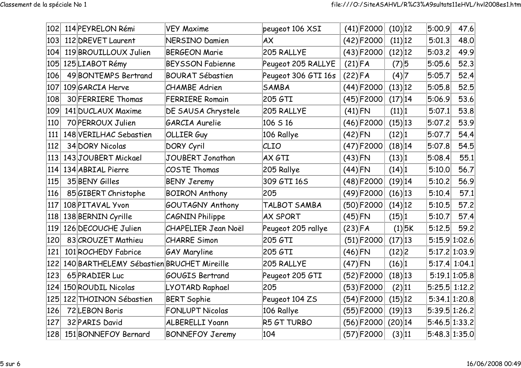| 102 | 114 PEYRELON Rémi                         | <b>VEY Maxime</b>          | peugeot 106 XSI     |           | $(41)$ F2000 | $(10)$ 12  |          | 5:00.9                      | 47.6          |
|-----|-------------------------------------------|----------------------------|---------------------|-----------|--------------|------------|----------|-----------------------------|---------------|
| 103 | 112 DREVET Laurent                        | <b>NERSINO Damien</b>      | AX                  |           | $(42)$ F2000 | (11) 12    |          | 5:01.3                      | 48.0          |
| 104 | 119 BROUILLOUX Julien                     | <b>BERGEON Marie</b>       | 205 RALLYE          |           | $(43)$ F2000 | $(12)$ 12  |          | 5:03.2                      | 49.9          |
| 105 | 125 LIABOT Rémy                           | <b>BEYSSON Fabienne</b>    | Peugeot 205 RALLYE  | $(21)$ FA |              | (7) 5      |          | 5:05.6                      | 52.3          |
| 106 | 49 BONTEMPS Bertrand                      | <b>BOURAT Sébastien</b>    | Peugeot 306 GTI 16s | $(22)$ FA |              | (4) 7      |          | 5:05.7                      | 52.4          |
| 107 | 109 GARCIA Herve                          | <b>CHAMBE</b> Adrien       | <b>SAMBA</b>        |           | $(44)$ F2000 | $(13)$ 12  |          | 5:05.8                      | 52.5          |
| 108 | 30 FERRIERE Thomas                        | <b>FERRIERE Romain</b>     | 205 GTI             |           | $(45)$ F2000 | $(17)$  14 |          | 5:06.9                      | 53.6          |
| 109 | 141 DUCLAUX Maxime                        | DE SAUSA Chrystele         | 205 RALLYE          | $(41)$ FN |              | (11) 1     |          | 5:07.1                      | 53.8          |
| 110 | 70 PERROUX Julien                         | GARCIA Aurelie             | 106 S 16            |           | $(46)$ F2000 | $(15)$  13 |          | 5:07.2                      | 53.9          |
| 111 | 148 VERILHAC Sebastien                    | <b>OLLIER Guy</b>          | 106 Rallye          | $(42)$ FN |              | (12) 1     |          | 5:07.7                      | 54.4          |
| 112 | 34 DORY Nicolas                           | DORY Cyril                 | CLIO                |           | $(47)$ F2000 | $(18)$  14 |          | 5:07.8                      | 54.5          |
| 113 | 143JOUBERT Mickael                        | JOUBERT Jonathan           | AX GTI              | $(43)$ FN |              | (13) 1     |          | 5:08.4                      | 55.1          |
| 114 | 134 ABRIAL Pierre                         | <b>COSTE Thomas</b>        | 205 Rallye          | $(44)$ FN |              | (14) 1     |          | 5:10.0                      | 56.7          |
| 115 | 35 BENY Gilles                            | <b>BENY Jeremy</b>         | 309 GTI 16S         |           | $(48)$ F2000 | $(19)$ 14  |          | 5:10.2                      | 56.9          |
| 116 | 85 GIBERT Christophe                      | <b>BOIRON Anthony</b>      | 205                 |           | $(49)$ F2000 | $(16)$ 13  |          | 5:10.4                      | 57.1          |
| 117 | 108 PITAVAL Yvon                          | GOUTAGNY Anthony           | TALBOT SAMBA        |           | $(50)$ F2000 | $(14)$  12 |          | 5:10.5                      | 57.2          |
| 118 | 138 BERNIN Cyrille                        | <b>CAGNIN Philippe</b>     | <b>AX SPORT</b>     | $(45)$ FN |              | (15) 1     |          | 5:10.7                      | 57.4          |
| 119 | 126 DECOUCHE Julien                       | <b>CHAPELIER Jean Noël</b> | Peugeot 205 rallye  | $(23)$ FA |              |            | $(1)$ 5K | 5:12.5                      | 59.2          |
| 120 | 83 CROUZET Mathieu                        | <b>CHARRE Simon</b>        | 205 GTI             |           | $(51)$ F2000 | $(17)$  13 |          | 5:15.9 1:02.6               |               |
| 121 | 101 ROCHEDY Fabrice                       | <b>GAY Maryline</b>        | 205 GTI             | $(46)$ FN |              | (12) 2     |          | 5:17.2 1:03.9               |               |
| 122 | 140 BARTHELEMY Sébastien BRUCHET Mireille |                            | 205 RALLYE          | $(47)$ FN |              | (16) 1     |          | $5:17.4$ 1:04.1             |               |
| 123 | 65 PRADIER Luc                            | <b>GOUGIS Bertrand</b>     | Peugeot 205 GTI     |           | $(52)$ F2000 | $(18)$ 13  |          |                             | 5:19.1 1:05.8 |
| 124 | 150 ROUDIL Nicolas                        | LYOTARD Raphael            | 205                 |           | $(53)$ F2000 | (2) 11     |          | 5:25.5 1:12.2               |               |
| 125 | 122 THOINON Sébastien                     | <b>BERT Sophie</b>         | Peugeot 104 ZS      |           | $(54)$ F2000 | $(15)$  12 |          | 5:34.1 1:20.8               |               |
| 126 | 72 LEBON Boris                            | <b>FONLUPT Nicolas</b>     | 106 Rallye          |           | $(55)$ F2000 | $(19)$ 13  |          | 5:39.5 1:26.2               |               |
| 127 | 32 PARIS David                            | <b>ALBERELLI Yoann</b>     | R5 GT TURBO         |           | $(56)$ F2000 | $(20)$ 14  |          | 5:46.5 1:33.2               |               |
| 128 | 151 BONNEFOY Bernard                      | <b>BONNEFOY Jeremy</b>     | 104                 |           | $(57)$ F2000 | (3) 11     |          | $\left 5:48.3\right 1:35.0$ |               |